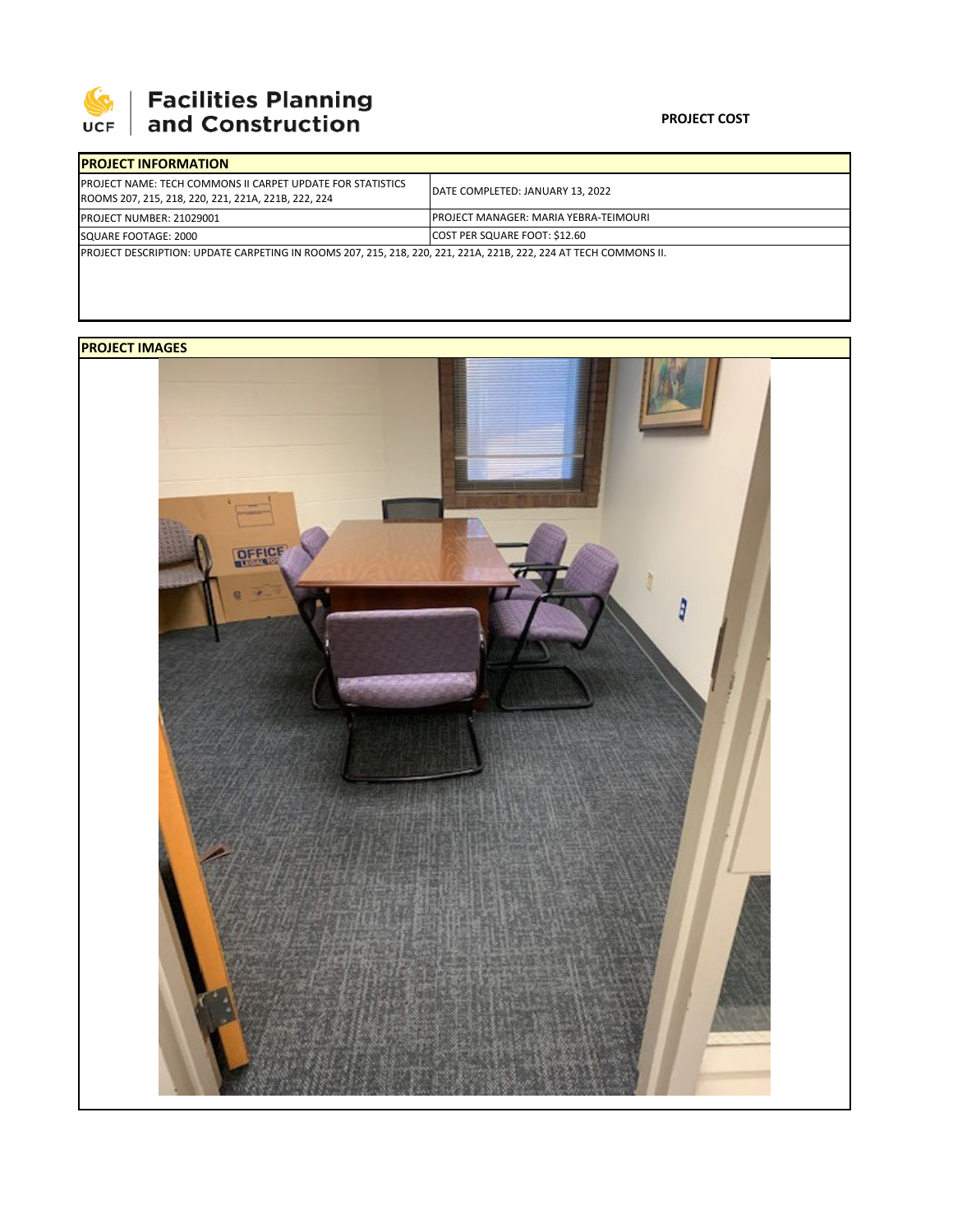

## 

## **PROJECT COST**

| <b>PROJECT INFORMATION</b>                                                                                                |                                       |  |  |  |
|---------------------------------------------------------------------------------------------------------------------------|---------------------------------------|--|--|--|
| <b>IPROJECT NAME: TECH COMMONS II CARPET UPDATE FOR STATISTICS</b><br>ROOMS 207, 215, 218, 220, 221, 221A, 221B, 222, 224 | DATE COMPLETED: JANUARY 13, 2022      |  |  |  |
| PROJECT NUMBER: 21029001                                                                                                  | PROJECT MANAGER: MARIA YEBRA-TEIMOURI |  |  |  |
| SQUARE FOOTAGE: 2000                                                                                                      | <b>COST PER SQUARE FOOT: \$12.60</b>  |  |  |  |
| PROJECT DESCRIPTION: UPDATE CARPETING IN ROOMS 207, 215, 218, 220, 221, 221A, 221B, 222, 224 AT TECH COMMONS II.          |                                       |  |  |  |

## **PROJECT IMAGES**